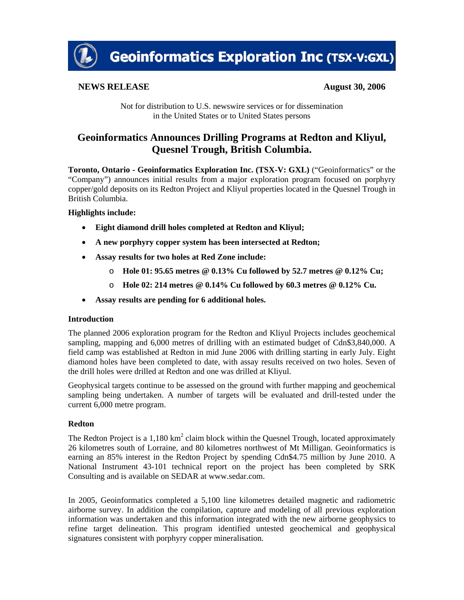

**Geoinformatics Exploration Inc (TSX-V:GXL)** 

# **NEWS RELEASE** August 30, 2006

Not for distribution to U.S. newswire services or for dissemination in the United States or to United States persons

# **Geoinformatics Announces Drilling Programs at Redton and Kliyul, Quesnel Trough, British Columbia.**

**Toronto, Ontario - Geoinformatics Exploration Inc. (TSX-V: GXL)** ("Geoinformatics" or the "Company") announces initial results from a major exploration program focused on porphyry copper/gold deposits on its Redton Project and Kliyul properties located in the Quesnel Trough in British Columbia.

### **Highlights include:**

- **Eight diamond drill holes completed at Redton and Kliyul;**
- **A new porphyry copper system has been intersected at Redton;**
- **Assay results for two holes at Red Zone include:** 
	- o **Hole 01: 95.65 metres @ 0.13% Cu followed by 52.7 metres @ 0.12% Cu;**
	- o **Hole 02: 214 metres @ 0.14% Cu followed by 60.3 metres @ 0.12% Cu.**
- **Assay results are pending for 6 additional holes.**

### **Introduction**

The planned 2006 exploration program for the Redton and Kliyul Projects includes geochemical sampling, mapping and 6,000 metres of drilling with an estimated budget of Cdn\$3,840,000. A field camp was established at Redton in mid June 2006 with drilling starting in early July. Eight diamond holes have been completed to date, with assay results received on two holes. Seven of the drill holes were drilled at Redton and one was drilled at Kliyul.

Geophysical targets continue to be assessed on the ground with further mapping and geochemical sampling being undertaken. A number of targets will be evaluated and drill-tested under the current 6,000 metre program.

### **Redton**

The Redton Project is a 1,180  $km^2$  claim block within the Quesnel Trough, located approximately 26 kilometres south of Lorraine, and 80 kilometres northwest of Mt Milligan. Geoinformatics is earning an 85% interest in the Redton Project by spending Cdn\$4.75 million by June 2010. A National Instrument 43-101 technical report on the project has been completed by SRK Consulting and is available on SEDAR at www.sedar.com.

In 2005, Geoinformatics completed a 5,100 line kilometres detailed magnetic and radiometric airborne survey. In addition the compilation, capture and modeling of all previous exploration information was undertaken and this information integrated with the new airborne geophysics to refine target delineation. This program identified untested geochemical and geophysical signatures consistent with porphyry copper mineralisation.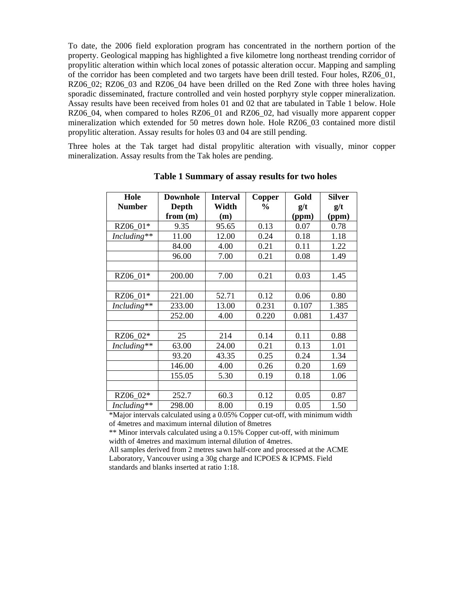To date, the 2006 field exploration program has concentrated in the northern portion of the property. Geological mapping has highlighted a five kilometre long northeast trending corridor of propylitic alteration within which local zones of potassic alteration occur. Mapping and sampling of the corridor has been completed and two targets have been drill tested. Four holes, RZ06\_01, RZ06 02; RZ06 03 and RZ06 04 have been drilled on the Red Zone with three holes having sporadic disseminated, fracture controlled and vein hosted porphyry style copper mineralization. Assay results have been received from holes 01 and 02 that are tabulated in Table 1 below. Hole RZ06\_04, when compared to holes RZ06\_01 and RZ06\_02, had visually more apparent copper mineralization which extended for 50 metres down hole. Hole RZ06\_03 contained more distil propylitic alteration. Assay results for holes 03 and 04 are still pending.

Three holes at the Tak target had distal propylitic alteration with visually, minor copper mineralization. Assay results from the Tak holes are pending.

| Hole          | <b>Downhole</b> | <b>Interval</b> | Copper         | Gold  | <b>Silver</b> |
|---------------|-----------------|-----------------|----------------|-------|---------------|
| <b>Number</b> | Depth           | Width           | $\frac{6}{10}$ | g/t   | g/t           |
|               | from (m)        | (m)             |                | (ppm) | (ppm)         |
| RZ06_01*      | 9.35            | 95.65           | 0.13           | 0.07  | 0.78          |
| Including**   | 11.00           | 12.00           | 0.24           | 0.18  | 1.18          |
|               | 84.00           | 4.00            | 0.21           | 0.11  | 1.22          |
|               | 96.00           | 7.00            | 0.21           | 0.08  | 1.49          |
|               |                 |                 |                |       |               |
| RZ06_01*      | 200.00          | 7.00            | 0.21           | 0.03  | 1.45          |
|               |                 |                 |                |       |               |
| RZ06_01*      | 221.00          | 52.71           | 0.12           | 0.06  | 0.80          |
| Including**   | 233.00          | 13.00           | 0.231          | 0.107 | 1.385         |
|               | 252.00          | 4.00            | 0.220          | 0.081 | 1.437         |
|               |                 |                 |                |       |               |
| RZ06_02*      | 25              | 214             | 0.14           | 0.11  | 0.88          |
| Including**   | 63.00           | 24.00           | 0.21           | 0.13  | 1.01          |
|               | 93.20           | 43.35           | 0.25           | 0.24  | 1.34          |
|               | 146.00          | 4.00            | 0.26           | 0.20  | 1.69          |
|               | 155.05          | 5.30            | 0.19           | 0.18  | 1.06          |
|               |                 |                 |                |       |               |
| RZ06_02*      | 252.7           | 60.3            | 0.12           | 0.05  | 0.87          |
| Including**   | 298.00          | 8.00            | 0.19           | 0.05  | 1.50          |

**Table 1 Summary of assay results for two holes**

\*Major intervals calculated using a 0.05% Copper cut-off, with minimum width of 4metres and maximum internal dilution of 8metres

\*\* Minor intervals calculated using a 0.15% Copper cut-off, with minimum width of 4metres and maximum internal dilution of 4metres.

All samples derived from 2 metres sawn half-core and processed at the ACME Laboratory, Vancouver using a 30g charge and ICPOES & ICPMS. Field standards and blanks inserted at ratio 1:18.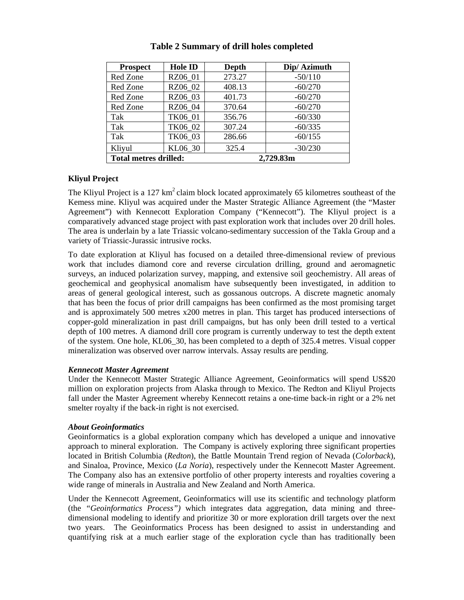| <b>Prospect</b>              | Hole ID | <b>Depth</b> | Dip/ Azimuth |  |
|------------------------------|---------|--------------|--------------|--|
| Red Zone                     | RZ06_01 | 273.27       | $-50/110$    |  |
| Red Zone                     | RZ06 02 | 408.13       | $-60/270$    |  |
| Red Zone                     | RZ06 03 | 401.73       | $-60/270$    |  |
| Red Zone                     | RZ06 04 | 370.64       | $-60/270$    |  |
| Tak                          | TK06 01 | 356.76       | $-60/330$    |  |
| Tak                          | TK06 02 | 307.24       | $-60/335$    |  |
| Tak                          | TK06 03 | 286.66       | $-60/155$    |  |
| Kliyul                       | KL06 30 | 325.4        | $-30/230$    |  |
| <b>Total metres drilled:</b> |         | 2,729.83m    |              |  |

## **Table 2 Summary of drill holes completed**

### **Kliyul Project**

The Kliyul Project is a 127  $km^2$  claim block located approximately 65 kilometres southeast of the Kemess mine. Kliyul was acquired under the Master Strategic Alliance Agreement (the "Master Agreement") with Kennecott Exploration Company ("Kennecott"). The Kliyul project is a comparatively advanced stage project with past exploration work that includes over 20 drill holes. The area is underlain by a late Triassic volcano-sedimentary succession of the Takla Group and a variety of Triassic-Jurassic intrusive rocks.

To date exploration at Kliyul has focused on a detailed three-dimensional review of previous work that includes diamond core and reverse circulation drilling, ground and aeromagnetic surveys, an induced polarization survey, mapping, and extensive soil geochemistry. All areas of geochemical and geophysical anomalism have subsequently been investigated, in addition to areas of general geological interest, such as gossanous outcrops. A discrete magnetic anomaly that has been the focus of prior drill campaigns has been confirmed as the most promising target and is approximately 500 metres x200 metres in plan. This target has produced intersections of copper-gold mineralization in past drill campaigns, but has only been drill tested to a vertical depth of 100 metres. A diamond drill core program is currently underway to test the depth extent of the system. One hole, KL06\_30, has been completed to a depth of 325.4 metres. Visual copper mineralization was observed over narrow intervals. Assay results are pending.

#### *Kennecott Master Agreement*

Under the Kennecott Master Strategic Alliance Agreement, Geoinformatics will spend US\$20 million on exploration projects from Alaska through to Mexico. The Redton and Kliyul Projects fall under the Master Agreement whereby Kennecott retains a one-time back-in right or a 2% net smelter royalty if the back-in right is not exercised.

#### *About Geoinformatics*

Geoinformatics is a global exploration company which has developed a unique and innovative approach to mineral exploration. The Company is actively exploring three significant properties located in British Columbia (*Redton*), the Battle Mountain Trend region of Nevada (*Colorback*), and Sinaloa, Province, Mexico (*La Noria*), respectively under the Kennecott Master Agreement. The Company also has an extensive portfolio of other property interests and royalties covering a wide range of minerals in Australia and New Zealand and North America.

Under the Kennecott Agreement, Geoinformatics will use its scientific and technology platform (the *"Geoinformatics Process")* which integrates data aggregation, data mining and threedimensional modeling to identify and prioritize 30 or more exploration drill targets over the next two years. The Geoinformatics Process has been designed to assist in understanding and quantifying risk at a much earlier stage of the exploration cycle than has traditionally been